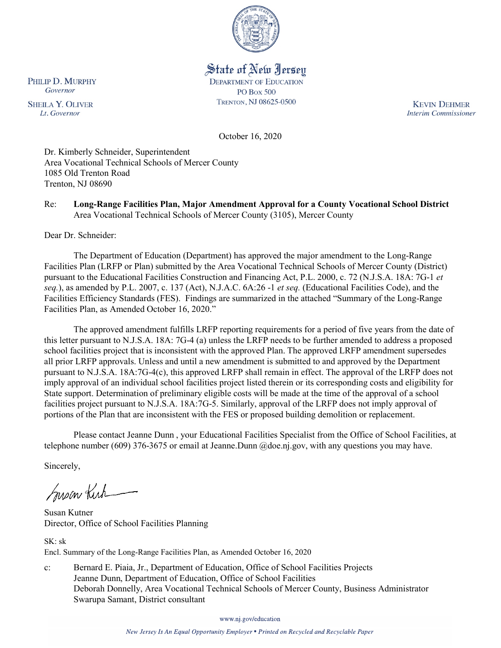

# State of New Jersey

**DEPARTMENT OF EDUCATION PO Box 500** TRENTON, NJ 08625-0500

**KEVIN DEHMER Interim Commissioner** 

October 16, 2020

Dr. Kimberly Schneider, Superintendent Area Vocational Technical Schools of Mercer County 1085 Old Trenton Road Trenton, NJ 08690

#### Re: **Long-Range Facilities Plan, Major Amendment Approval for a County Vocational School District** Area Vocational Technical Schools of Mercer County (3105), Mercer County

Dear Dr. Schneider:

The Department of Education (Department) has approved the major amendment to the Long-Range Facilities Plan (LRFP or Plan) submitted by the Area Vocational Technical Schools of Mercer County (District) pursuant to the Educational Facilities Construction and Financing Act, P.L. 2000, c. 72 (N.J.S.A. 18A: 7G-1 *et seq.*), as amended by P.L. 2007, c. 137 (Act), N.J.A.C. 6A:26 -1 *et seq.* (Educational Facilities Code), and the Facilities Efficiency Standards (FES). Findings are summarized in the attached "Summary of the Long-Range Facilities Plan, as Amended October 16, 2020."

The approved amendment fulfills LRFP reporting requirements for a period of five years from the date of this letter pursuant to N.J.S.A. 18A: 7G-4 (a) unless the LRFP needs to be further amended to address a proposed school facilities project that is inconsistent with the approved Plan. The approved LRFP amendment supersedes all prior LRFP approvals. Unless and until a new amendment is submitted to and approved by the Department pursuant to N.J.S.A. 18A:7G-4(c), this approved LRFP shall remain in effect. The approval of the LRFP does not imply approval of an individual school facilities project listed therein or its corresponding costs and eligibility for State support. Determination of preliminary eligible costs will be made at the time of the approval of a school facilities project pursuant to N.J.S.A. 18A:7G-5. Similarly, approval of the LRFP does not imply approval of portions of the Plan that are inconsistent with the FES or proposed building demolition or replacement.

Please contact Jeanne Dunn , your Educational Facilities Specialist from the Office of School Facilities, at telephone number (609) 376-3675 or email at Jeanne.Dunn @doe.nj.gov, with any questions you may have.

Sincerely,

Susan Kich

Susan Kutner Director, Office of School Facilities Planning

SK: sk Encl. Summary of the Long-Range Facilities Plan, as Amended October 16, 2020

c: Bernard E. Piaia, Jr., Department of Education, Office of School Facilities Projects Jeanne Dunn, Department of Education, Office of School Facilities Deborah Donnelly, Area Vocational Technical Schools of Mercer County, Business Administrator Swarupa Samant, District consultant

www.nj.gov/education

New Jersey Is An Equal Opportunity Employer . Printed on Recycled and Recyclable Paper

PHILIP D. MURPHY Governor

**SHEILA Y. OLIVER** Lt. Governor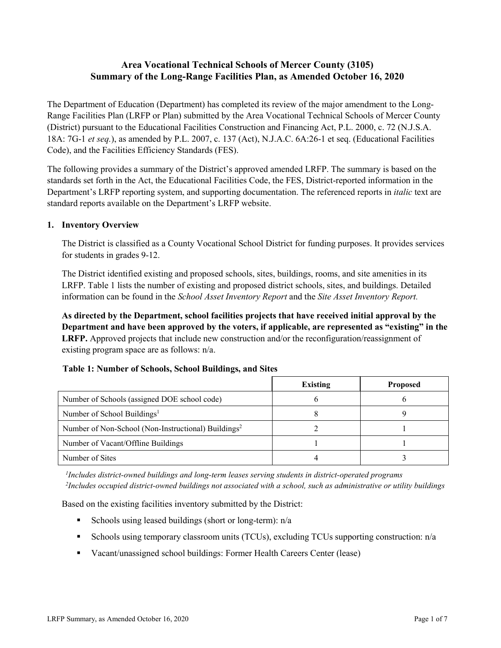## **Area Vocational Technical Schools of Mercer County (3105) Summary of the Long-Range Facilities Plan, as Amended October 16, 2020**

The Department of Education (Department) has completed its review of the major amendment to the Long-Range Facilities Plan (LRFP or Plan) submitted by the Area Vocational Technical Schools of Mercer County (District) pursuant to the Educational Facilities Construction and Financing Act, P.L. 2000, c. 72 (N.J.S.A. 18A: 7G-1 *et seq.*), as amended by P.L. 2007, c. 137 (Act), N.J.A.C. 6A:26-1 et seq. (Educational Facilities Code), and the Facilities Efficiency Standards (FES).

The following provides a summary of the District's approved amended LRFP. The summary is based on the standards set forth in the Act, the Educational Facilities Code, the FES, District-reported information in the Department's LRFP reporting system, and supporting documentation. The referenced reports in *italic* text are standard reports available on the Department's LRFP website.

#### **1. Inventory Overview**

The District is classified as a County Vocational School District for funding purposes. It provides services for students in grades 9-12.

The District identified existing and proposed schools, sites, buildings, rooms, and site amenities in its LRFP. Table 1 lists the number of existing and proposed district schools, sites, and buildings. Detailed information can be found in the *School Asset Inventory Report* and the *Site Asset Inventory Report.*

**As directed by the Department, school facilities projects that have received initial approval by the Department and have been approved by the voters, if applicable, are represented as "existing" in the LRFP.** Approved projects that include new construction and/or the reconfiguration/reassignment of existing program space are as follows: n/a.

|                                                                 | Existing | <b>Proposed</b> |
|-----------------------------------------------------------------|----------|-----------------|
| Number of Schools (assigned DOE school code)                    |          |                 |
| Number of School Buildings <sup>1</sup>                         |          |                 |
| Number of Non-School (Non-Instructional) Buildings <sup>2</sup> |          |                 |
| Number of Vacant/Offline Buildings                              |          |                 |
| Number of Sites                                                 |          |                 |

#### **Table 1: Number of Schools, School Buildings, and Sites**

*1 Includes district-owned buildings and long-term leases serving students in district-operated programs 2 Includes occupied district-owned buildings not associated with a school, such as administrative or utility buildings*

Based on the existing facilities inventory submitted by the District:

- Schools using leased buildings (short or long-term):  $n/a$
- Schools using temporary classroom units (TCUs), excluding TCUs supporting construction: n/a
- Vacant/unassigned school buildings: Former Health Careers Center (lease)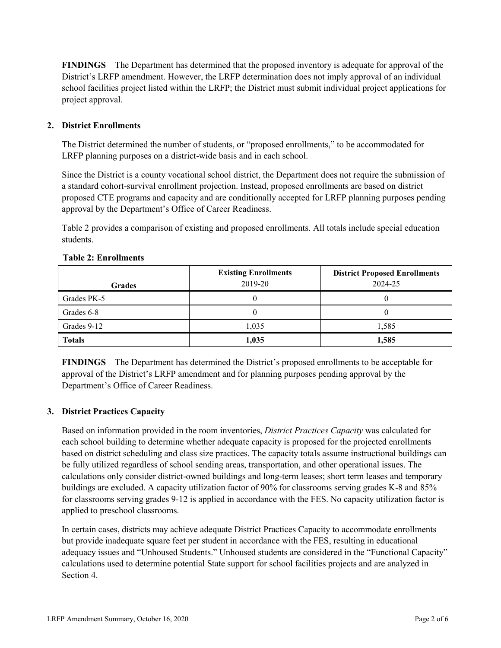**FINDINGS** The Department has determined that the proposed inventory is adequate for approval of the District's LRFP amendment. However, the LRFP determination does not imply approval of an individual school facilities project listed within the LRFP; the District must submit individual project applications for project approval.

### **2. District Enrollments**

The District determined the number of students, or "proposed enrollments," to be accommodated for LRFP planning purposes on a district-wide basis and in each school.

Since the District is a county vocational school district, the Department does not require the submission of a standard cohort-survival enrollment projection. Instead, proposed enrollments are based on district proposed CTE programs and capacity and are conditionally accepted for LRFP planning purposes pending approval by the Department's Office of Career Readiness.

Table 2 provides a comparison of existing and proposed enrollments. All totals include special education students.

| <b>Grades</b> | <b>Existing Enrollments</b><br>2019-20 | <b>District Proposed Enrollments</b><br>2024-25 |
|---------------|----------------------------------------|-------------------------------------------------|
| Grades PK-5   |                                        | O                                               |
| Grades 6-8    |                                        | U                                               |
| Grades 9-12   | 1,035                                  | 1,585                                           |
| <b>Totals</b> | 1,035                                  | 1,585                                           |

#### **Table 2: Enrollments**

**FINDINGS** The Department has determined the District's proposed enrollments to be acceptable for approval of the District's LRFP amendment and for planning purposes pending approval by the Department's Office of Career Readiness.

## **3. District Practices Capacity**

Based on information provided in the room inventories, *District Practices Capacity* was calculated for each school building to determine whether adequate capacity is proposed for the projected enrollments based on district scheduling and class size practices. The capacity totals assume instructional buildings can be fully utilized regardless of school sending areas, transportation, and other operational issues. The calculations only consider district-owned buildings and long-term leases; short term leases and temporary buildings are excluded. A capacity utilization factor of 90% for classrooms serving grades K-8 and 85% for classrooms serving grades 9-12 is applied in accordance with the FES. No capacity utilization factor is applied to preschool classrooms.

In certain cases, districts may achieve adequate District Practices Capacity to accommodate enrollments but provide inadequate square feet per student in accordance with the FES, resulting in educational adequacy issues and "Unhoused Students." Unhoused students are considered in the "Functional Capacity" calculations used to determine potential State support for school facilities projects and are analyzed in Section 4.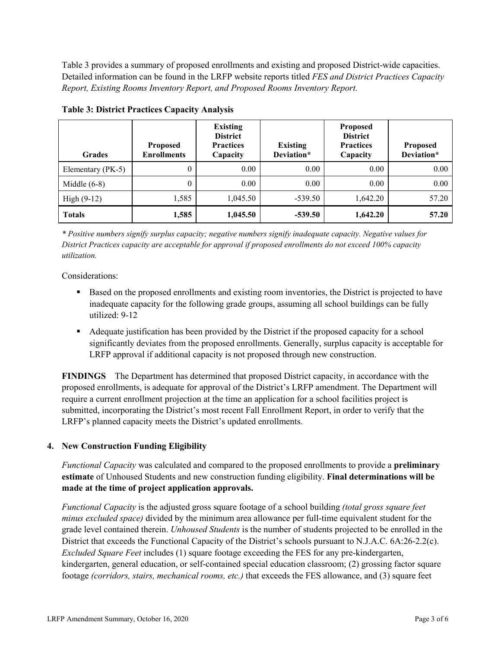Table 3 provides a summary of proposed enrollments and existing and proposed District-wide capacities. Detailed information can be found in the LRFP website reports titled *FES and District Practices Capacity Report, Existing Rooms Inventory Report, and Proposed Rooms Inventory Report.*

| <b>Grades</b>     | <b>Proposed</b><br><b>Enrollments</b> | <b>Existing</b><br><b>District</b><br><b>Practices</b><br>Capacity | <b>Existing</b><br>Deviation* | <b>Proposed</b><br><b>District</b><br><b>Practices</b><br>Capacity | <b>Proposed</b><br>Deviation* |
|-------------------|---------------------------------------|--------------------------------------------------------------------|-------------------------------|--------------------------------------------------------------------|-------------------------------|
| Elementary (PK-5) | $\theta$                              | 0.00                                                               | 0.00                          | 0.00                                                               | 0.00                          |
| Middle $(6-8)$    | $\theta$                              | 0.00                                                               | 0.00                          | 0.00                                                               | 0.00                          |
| High $(9-12)$     | 1,585                                 | 1,045.50                                                           | $-539.50$                     | 1,642.20                                                           | 57.20                         |
| <b>Totals</b>     | 1,585                                 | 1,045.50                                                           | $-539.50$                     | 1,642.20                                                           | 57.20                         |

**Table 3: District Practices Capacity Analysis**

*\* Positive numbers signify surplus capacity; negative numbers signify inadequate capacity. Negative values for District Practices capacity are acceptable for approval if proposed enrollments do not exceed 100% capacity utilization.*

Considerations:

- Based on the proposed enrollments and existing room inventories, the District is projected to have inadequate capacity for the following grade groups, assuming all school buildings can be fully utilized: 9-12
- Adequate justification has been provided by the District if the proposed capacity for a school significantly deviates from the proposed enrollments. Generally, surplus capacity is acceptable for LRFP approval if additional capacity is not proposed through new construction.

**FINDINGS**The Department has determined that proposed District capacity, in accordance with the proposed enrollments, is adequate for approval of the District's LRFP amendment. The Department will require a current enrollment projection at the time an application for a school facilities project is submitted, incorporating the District's most recent Fall Enrollment Report, in order to verify that the LRFP's planned capacity meets the District's updated enrollments.

## **4. New Construction Funding Eligibility**

*Functional Capacity* was calculated and compared to the proposed enrollments to provide a **preliminary estimate** of Unhoused Students and new construction funding eligibility. **Final determinations will be made at the time of project application approvals.**

*Functional Capacity* is the adjusted gross square footage of a school building *(total gross square feet minus excluded space)* divided by the minimum area allowance per full-time equivalent student for the grade level contained therein. *Unhoused Students* is the number of students projected to be enrolled in the District that exceeds the Functional Capacity of the District's schools pursuant to N.J.A.C. 6A:26-2.2(c). *Excluded Square Feet* includes (1) square footage exceeding the FES for any pre-kindergarten, kindergarten, general education, or self-contained special education classroom; (2) grossing factor square footage *(corridors, stairs, mechanical rooms, etc.)* that exceeds the FES allowance, and (3) square feet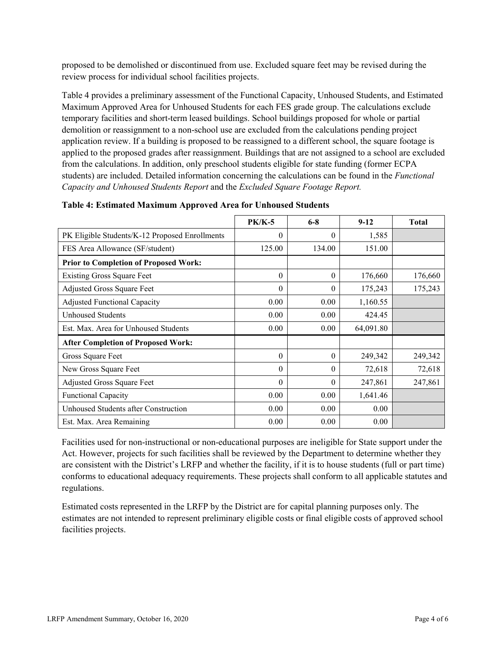proposed to be demolished or discontinued from use. Excluded square feet may be revised during the review process for individual school facilities projects.

Table 4 provides a preliminary assessment of the Functional Capacity, Unhoused Students, and Estimated Maximum Approved Area for Unhoused Students for each FES grade group. The calculations exclude temporary facilities and short-term leased buildings. School buildings proposed for whole or partial demolition or reassignment to a non-school use are excluded from the calculations pending project application review. If a building is proposed to be reassigned to a different school, the square footage is applied to the proposed grades after reassignment. Buildings that are not assigned to a school are excluded from the calculations. In addition, only preschool students eligible for state funding (former ECPA students) are included. Detailed information concerning the calculations can be found in the *Functional Capacity and Unhoused Students Report* and the *Excluded Square Footage Report.*

|                                                | <b>PK/K-5</b> | $6 - 8$  | $9 - 12$  | <b>Total</b> |
|------------------------------------------------|---------------|----------|-----------|--------------|
| PK Eligible Students/K-12 Proposed Enrollments | $\theta$      | $\theta$ | 1,585     |              |
| FES Area Allowance (SF/student)                | 125.00        | 134.00   | 151.00    |              |
| <b>Prior to Completion of Proposed Work:</b>   |               |          |           |              |
| <b>Existing Gross Square Feet</b>              | $\theta$      | $\theta$ | 176,660   | 176,660      |
| Adjusted Gross Square Feet                     | $\theta$      | $\theta$ | 175,243   | 175,243      |
| <b>Adjusted Functional Capacity</b>            | 0.00          | 0.00     | 1,160.55  |              |
| <b>Unhoused Students</b>                       | 0.00          | 0.00     | 424.45    |              |
| Est. Max. Area for Unhoused Students           | 0.00          | 0.00     | 64,091.80 |              |
| <b>After Completion of Proposed Work:</b>      |               |          |           |              |
| Gross Square Feet                              | $\theta$      | $\theta$ | 249,342   | 249,342      |
| New Gross Square Feet                          | $\theta$      | $\theta$ | 72,618    | 72,618       |
| <b>Adjusted Gross Square Feet</b>              | $\theta$      | $\theta$ | 247,861   | 247,861      |
| <b>Functional Capacity</b>                     | 0.00          | 0.00     | 1,641.46  |              |
| Unhoused Students after Construction           | 0.00          | 0.00     | 0.00      |              |
| Est. Max. Area Remaining                       | 0.00          | 0.00     | 0.00      |              |

Facilities used for non-instructional or non-educational purposes are ineligible for State support under the Act. However, projects for such facilities shall be reviewed by the Department to determine whether they are consistent with the District's LRFP and whether the facility, if it is to house students (full or part time) conforms to educational adequacy requirements. These projects shall conform to all applicable statutes and regulations.

Estimated costs represented in the LRFP by the District are for capital planning purposes only. The estimates are not intended to represent preliminary eligible costs or final eligible costs of approved school facilities projects.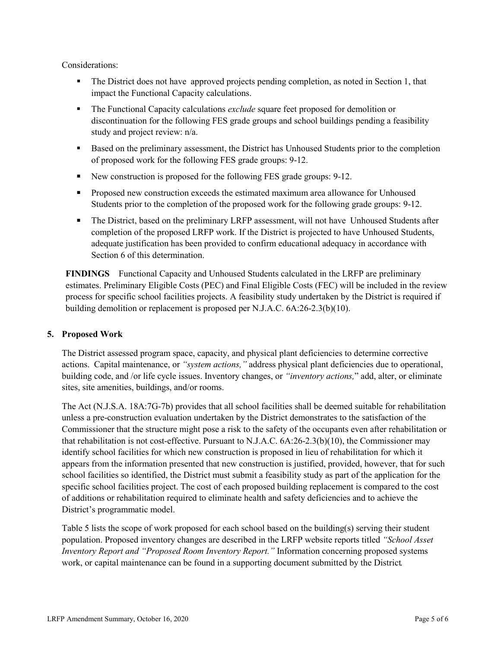Considerations:

- The District does not have approved projects pending completion, as noted in Section 1, that impact the Functional Capacity calculations.
- The Functional Capacity calculations *exclude* square feet proposed for demolition or discontinuation for the following FES grade groups and school buildings pending a feasibility study and project review: n/a.
- **Based on the preliminary assessment, the District has Unhoused Students prior to the completion** of proposed work for the following FES grade groups: 9-12.
- New construction is proposed for the following FES grade groups: 9-12.
- **Proposed new construction exceeds the estimated maximum area allowance for Unhoused** Students prior to the completion of the proposed work for the following grade groups: 9-12.
- The District, based on the preliminary LRFP assessment, will not have Unhoused Students after completion of the proposed LRFP work. If the District is projected to have Unhoused Students, adequate justification has been provided to confirm educational adequacy in accordance with Section 6 of this determination.

**FINDINGS** Functional Capacity and Unhoused Students calculated in the LRFP are preliminary estimates. Preliminary Eligible Costs (PEC) and Final Eligible Costs (FEC) will be included in the review process for specific school facilities projects. A feasibility study undertaken by the District is required if building demolition or replacement is proposed per N.J.A.C. 6A:26-2.3(b)(10).

## **5. Proposed Work**

The District assessed program space, capacity, and physical plant deficiencies to determine corrective actions. Capital maintenance, or *"system actions,"* address physical plant deficiencies due to operational, building code, and /or life cycle issues. Inventory changes, or *"inventory actions,*" add, alter, or eliminate sites, site amenities, buildings, and/or rooms.

The Act (N.J.S.A. 18A:7G-7b) provides that all school facilities shall be deemed suitable for rehabilitation unless a pre-construction evaluation undertaken by the District demonstrates to the satisfaction of the Commissioner that the structure might pose a risk to the safety of the occupants even after rehabilitation or that rehabilitation is not cost-effective. Pursuant to N.J.A.C. 6A:26-2.3(b)(10), the Commissioner may identify school facilities for which new construction is proposed in lieu of rehabilitation for which it appears from the information presented that new construction is justified, provided, however, that for such school facilities so identified, the District must submit a feasibility study as part of the application for the specific school facilities project. The cost of each proposed building replacement is compared to the cost of additions or rehabilitation required to eliminate health and safety deficiencies and to achieve the District's programmatic model.

Table 5 lists the scope of work proposed for each school based on the building(s) serving their student population. Proposed inventory changes are described in the LRFP website reports titled *"School Asset Inventory Report and "Proposed Room Inventory Report."* Information concerning proposed systems work, or capital maintenance can be found in a supporting document submitted by the District.